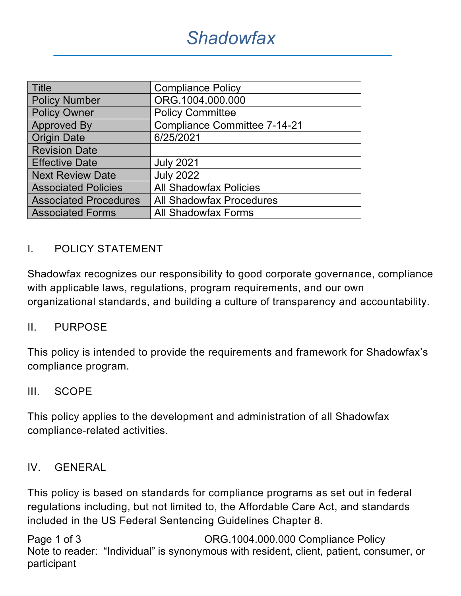| <b>Title</b>                 | <b>Compliance Policy</b>            |
|------------------------------|-------------------------------------|
| <b>Policy Number</b>         | ORG.1004.000.000                    |
| <b>Policy Owner</b>          | <b>Policy Committee</b>             |
| <b>Approved By</b>           | <b>Compliance Committee 7-14-21</b> |
| <b>Origin Date</b>           | 6/25/2021                           |
| <b>Revision Date</b>         |                                     |
| <b>Effective Date</b>        | <b>July 2021</b>                    |
| <b>Next Review Date</b>      | <b>July 2022</b>                    |
| <b>Associated Policies</b>   | <b>All Shadowfax Policies</b>       |
| <b>Associated Procedures</b> | <b>All Shadowfax Procedures</b>     |
| <b>Associated Forms</b>      | <b>All Shadowfax Forms</b>          |

### I. POLICY STATEMENT

Shadowfax recognizes our responsibility to good corporate governance, compliance with applicable laws, regulations, program requirements, and our own organizational standards, and building a culture of transparency and accountability.

#### II. PURPOSE

This policy is intended to provide the requirements and framework for Shadowfax's compliance program.

#### III. SCOPE

This policy applies to the development and administration of all Shadowfax compliance-related activities.

#### IV. GENERAL

This policy is based on standards for compliance programs as set out in federal regulations including, but not limited to, the Affordable Care Act, and standards included in the US Federal Sentencing Guidelines Chapter 8.

Page 1 of 3 CRG.1004.000.000 Compliance Policy Note to reader: "Individual" is synonymous with resident, client, patient, consumer, or participant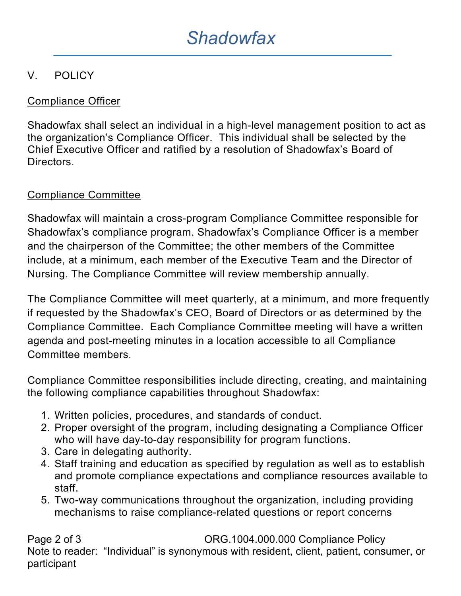## V. POLICY

## Compliance Officer

Shadowfax shall select an individual in a high-level management position to act as the organization's Compliance Officer. This individual shall be selected by the Chief Executive Officer and ratified by a resolution of Shadowfax's Board of Directors.

## Compliance Committee

Shadowfax will maintain a cross-program Compliance Committee responsible for Shadowfax's compliance program. Shadowfax's Compliance Officer is a member and the chairperson of the Committee; the other members of the Committee include, at a minimum, each member of the Executive Team and the Director of Nursing. The Compliance Committee will review membership annually.

The Compliance Committee will meet quarterly, at a minimum, and more frequently if requested by the Shadowfax's CEO, Board of Directors or as determined by the Compliance Committee. Each Compliance Committee meeting will have a written agenda and post-meeting minutes in a location accessible to all Compliance Committee members.

Compliance Committee responsibilities include directing, creating, and maintaining the following compliance capabilities throughout Shadowfax:

- 1. Written policies, procedures, and standards of conduct.
- 2. Proper oversight of the program, including designating a Compliance Officer who will have day-to-day responsibility for program functions.
- 3. Care in delegating authority.
- 4. Staff training and education as specified by regulation as well as to establish and promote compliance expectations and compliance resources available to staff.
- 5. Two-way communications throughout the organization, including providing mechanisms to raise compliance-related questions or report concerns

Page 2 of 3 CRG.1004.000.000 Compliance Policy Note to reader: "Individual" is synonymous with resident, client, patient, consumer, or participant